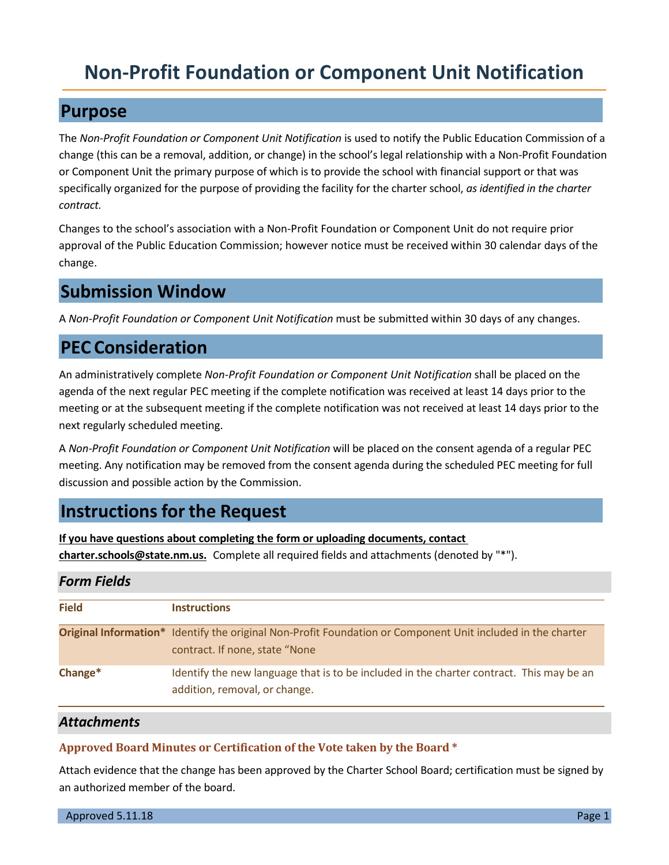# **Non-Profit Foundation or Component Unit Notification**

## **Purpose**

The *Non-Profit Foundation or Component Unit Notification* is used to notify the Public Education Commission of a change (this can be a removal, addition, or change) in the school's legal relationship with a Non-Profit Foundation or Component Unit the primary purpose of which is to provide the school with financial support or that was specifically organized for the purpose of providing the facility for the charter school, *as identified in the charter contract.*

Changes to the school's association with a Non-Profit Foundation or Component Unit do not require prior approval of the Public Education Commission; however notice must be received within 30 calendar days of the change.

## **Submission Window**

A *Non-Profit Foundation or Component Unit Notification* must be submitted within 30 days of any changes.

## **PEC Consideration**

An administratively complete *Non-Profit Foundation or Component Unit Notification* shall be placed on the agenda of the next regular PEC meeting if the complete notification was received at least 14 days prior to the meeting or at the subsequent meeting if the complete notification was not received at least 14 days prior to the next regularly scheduled meeting.

A *Non-Profit Foundation or Component Unit Notification* will be placed on the consent agenda of a regular PEC meeting. Any notification may be removed from the consent agenda during the scheduled PEC meeting for full discussion and possible action by the Commission.

## **Instructions for the Request**

**If you have questions about completing the form or uploading documents, contact charter.schools@state.nm.us.** Complete all required fields and attachments (denoted by "\*").

### *Form Fields*

| <b>Field</b> | <b>Instructions</b>                                                                                                                           |
|--------------|-----------------------------------------------------------------------------------------------------------------------------------------------|
|              | Original Information* Identify the original Non-Profit Foundation or Component Unit included in the charter<br>contract. If none, state "None |
| Change*      | Identify the new language that is to be included in the charter contract. This may be an<br>addition, removal, or change.                     |

### *Attachments*

### **Approved Board Minutes or Certification of the Vote taken by the Board \***

Attach evidence that the change has been approved by the Charter School Board; certification must be signed by an authorized member of the board.

Approved 5.11.18 Page 1